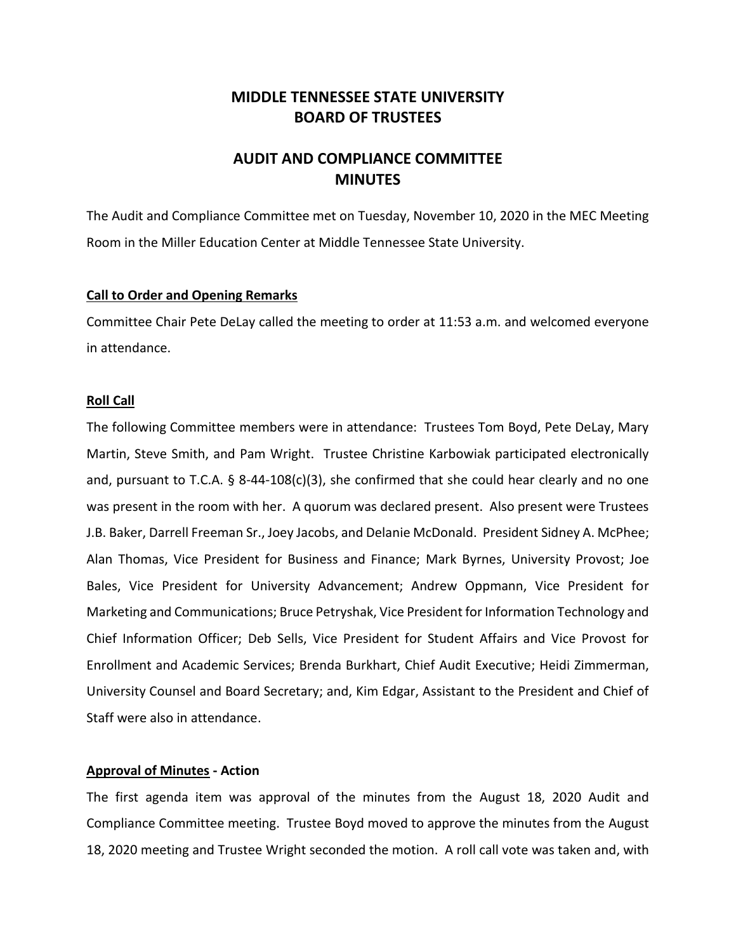# **MIDDLE TENNESSEE STATE UNIVERSITY BOARD OF TRUSTEES**

# **AUDIT AND COMPLIANCE COMMITTEE MINUTES**

The Audit and Compliance Committee met on Tuesday, November 10, 2020 in the MEC Meeting Room in the Miller Education Center at Middle Tennessee State University.

## **Call to Order and Opening Remarks**

Committee Chair Pete DeLay called the meeting to order at 11:53 a.m. and welcomed everyone in attendance.

## **Roll Call**

The following Committee members were in attendance: Trustees Tom Boyd, Pete DeLay, Mary Martin, Steve Smith, and Pam Wright. Trustee Christine Karbowiak participated electronically and, pursuant to T.C.A. § 8-44-108(c)(3), she confirmed that she could hear clearly and no one was present in the room with her. A quorum was declared present. Also present were Trustees J.B. Baker, Darrell Freeman Sr., Joey Jacobs, and Delanie McDonald. President Sidney A. McPhee; Alan Thomas, Vice President for Business and Finance; Mark Byrnes, University Provost; Joe Bales, Vice President for University Advancement; Andrew Oppmann, Vice President for Marketing and Communications; Bruce Petryshak, Vice President for Information Technology and Chief Information Officer; Deb Sells, Vice President for Student Affairs and Vice Provost for Enrollment and Academic Services; Brenda Burkhart, Chief Audit Executive; Heidi Zimmerman, University Counsel and Board Secretary; and, Kim Edgar, Assistant to the President and Chief of Staff were also in attendance.

# **Approval of Minutes - Action**

The first agenda item was approval of the minutes from the August 18, 2020 Audit and Compliance Committee meeting. Trustee Boyd moved to approve the minutes from the August 18, 2020 meeting and Trustee Wright seconded the motion. A roll call vote was taken and, with